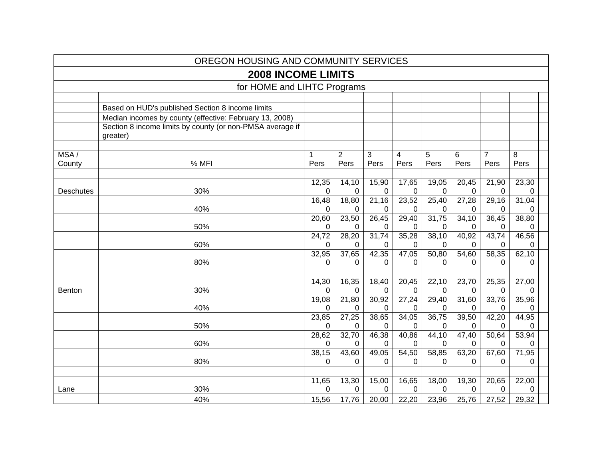|                  | OREGON HOUSING AND COMMUNITY SERVICES                                 |                   |                   |                   |                         |                   |                       |                |                   |  |
|------------------|-----------------------------------------------------------------------|-------------------|-------------------|-------------------|-------------------------|-------------------|-----------------------|----------------|-------------------|--|
|                  | <b>2008 INCOME LIMITS</b>                                             |                   |                   |                   |                         |                   |                       |                |                   |  |
|                  | for HOME and LIHTC Programs                                           |                   |                   |                   |                         |                   |                       |                |                   |  |
|                  |                                                                       |                   |                   |                   |                         |                   |                       |                |                   |  |
|                  | Based on HUD's published Section 8 income limits                      |                   |                   |                   |                         |                   |                       |                |                   |  |
|                  | Median incomes by county (effective: February 13, 2008)               |                   |                   |                   |                         |                   |                       |                |                   |  |
|                  | Section 8 income limits by county (or non-PMSA average if<br>greater) |                   |                   |                   |                         |                   |                       |                |                   |  |
| MSA/             |                                                                       | 1                 | 2                 | 3                 | $\overline{\mathbf{4}}$ | 5                 | 6                     | $\overline{7}$ | 8                 |  |
| County           | % MFI                                                                 | Pers              | Pers              | Pers              | Pers                    | Pers              | Pers                  | Pers           | Pers              |  |
|                  |                                                                       |                   |                   |                   |                         |                   |                       |                |                   |  |
| <b>Deschutes</b> | 30%                                                                   | 12,35<br>0        | 14,10<br>0        | 15,90<br>0        | 17,65<br>0              | 19,05<br>0        | 20,45<br>0            | 21,90<br>0     | 23,30<br>0        |  |
|                  |                                                                       | 16,48             | 18,80             | 21,16             | 23,52                   | 25,40             | 27,28                 | 29,16          | 31,04             |  |
|                  | 40%                                                                   | 0                 | 0                 | 0                 | $\Omega$                | 0                 | 0                     | 0              | 0                 |  |
|                  |                                                                       | 20,60             | 23,50             | 26,45             | 29,40                   | 31,75             | 34,10                 | 36,45          | 38,80             |  |
|                  | 50%                                                                   | $\Omega$          | $\Omega$          | $\Omega$          | $\Omega$                | 0                 | 0                     | 0              | 0                 |  |
|                  | 60%                                                                   | 24,72<br>$\Omega$ | 28,20<br>$\Omega$ | 31,74<br>$\Omega$ | 35,28<br>$\Omega$       | 38,10<br>0        | 40,92<br>$\mathbf{0}$ | 43,74<br>0     | 46,56<br>$\Omega$ |  |
|                  |                                                                       | 32,95             | 37,65             | 42,35             | 47,05                   | 50,80             | 54,60                 | 58,35          | 62,10             |  |
|                  | 80%                                                                   | 0                 | 0                 | $\Omega$          | $\Omega$                | 0                 | 0                     | 0              | $\Omega$          |  |
|                  |                                                                       |                   |                   |                   |                         |                   |                       |                |                   |  |
|                  |                                                                       | 14,30             | 16,35             | 18,40             | 20,45                   | 22,10             | 23,70                 | 25,35          | 27,00             |  |
| <b>Benton</b>    | 30%                                                                   | 0<br>19,08        | 0<br>21,80        | 0<br>30,92        | $\Omega$<br>27,24       | 0<br>29,40        | 0<br>31,60            | 0<br>33,76     | 0<br>35,96        |  |
|                  | 40%                                                                   | 0                 | 0                 | 0                 | 0                       | 0                 | 0                     | 0              | 0                 |  |
|                  |                                                                       | 23,85             | 27,25             | 38,65             | 34,05                   | 36,75             | 39,50                 | 42,20          | 44,95             |  |
|                  | 50%                                                                   | $\Omega$          | $\Omega$          | 0                 | $\Omega$                | 0                 | 0                     | 0              | 0                 |  |
|                  |                                                                       | 28,62             | 32,70             | 46,38             | 40,86                   | 44,10             | 47,40                 | 50,64          | 53,94             |  |
|                  | 60%                                                                   | $\Omega$          | $\Omega$          | $\Omega$          | $\Omega$                | 0                 | 0                     | $\Omega$       | 0                 |  |
|                  | 80%                                                                   | 38,15<br>$\Omega$ | 43,60<br>0        | 49,05<br>0        | 54,50<br>$\Omega$       | 58,85<br>$\Omega$ | 63,20<br>$\Omega$     | 67,60<br>0     | 71,95<br>$\Omega$ |  |
|                  |                                                                       |                   |                   |                   |                         |                   |                       |                |                   |  |
|                  |                                                                       | 11,65             | 13,30             | 15,00             | 16,65                   | 18,00             | 19,30                 | 20,65          | 22,00             |  |
| Lane             | 30%                                                                   | $\Omega$          | 0                 | $\mathbf 0$       | $\Omega$                | $\Omega$          | $\Omega$              | 0              | 0                 |  |
|                  | 40%                                                                   | 15,56             | 17,76             | 20,00             | 22,20                   | 23,96             | 25,76                 | 27,52          | 29,32             |  |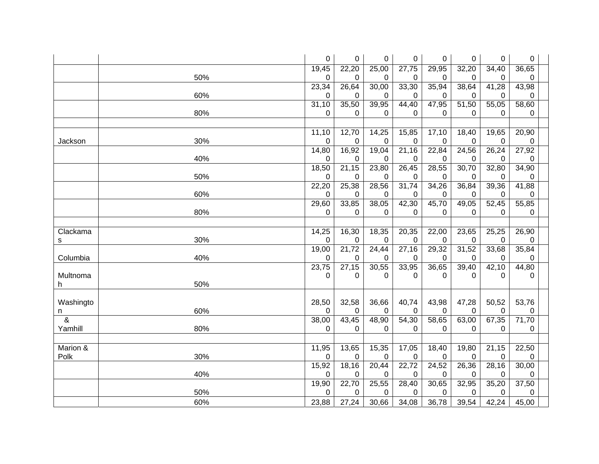|                          |     | $\pmb{0}$   | 0                  | $\pmb{0}$   | 0                  | 0              | 0     | 0                  | $\pmb{0}$   |  |
|--------------------------|-----|-------------|--------------------|-------------|--------------------|----------------|-------|--------------------|-------------|--|
|                          |     | 19,45       | 22,20              | 25,00       | 27,75              | 29,95          | 32,20 | 34,40              | 36,65       |  |
|                          | 50% | 0           | 0                  | 0           | 0                  | 0              | 0     | 0                  | 0           |  |
|                          |     | 23,34       | 26,64              | 30,00       | 33,30              | 35,94          | 38,64 | 41,28              | 43,98       |  |
|                          | 60% | 0           | 0                  | 0           | 0                  | 0              | 0     | 0                  | 0           |  |
|                          |     | 31,10       | 35,50              | 39,95       | 44,40              | 47,95          | 51,50 | 55,05              | 58,60       |  |
|                          | 80% | $\Omega$    | 0                  | 0           | 0                  | 0              | 0     | 0                  | 0           |  |
|                          |     |             |                    |             |                    |                |       |                    |             |  |
|                          |     | 11,10       | 12,70              | 14,25       | 15,85              | 17,10          | 18,40 | 19,65              | 20,90       |  |
| Jackson                  | 30% | 0           | 0                  | 0           | $\mathbf 0$        | 0              | 0     | 0                  | $\mathbf 0$ |  |
|                          |     | 14,80       | 16,92              | 19,04       | $\overline{21,16}$ | 22,84          | 24,56 | $\overline{26,}24$ | 27,92       |  |
|                          | 40% | $\mathbf 0$ | 0                  | $\mathbf 0$ | 0                  | 0              | 0     | 0                  | 0           |  |
|                          |     | 18,50       | 21,15              | 23,80       | 26,45              | 28,55          | 30,70 | 32,80              | 34,90       |  |
|                          | 50% | $\Omega$    | 0                  | 0           | 0                  | 0              | 0     | 0                  | 0           |  |
|                          |     | 22,20       | 25,38              | 28,56       | 31,74              | 34,26          | 36,84 | 39,36              | 41,88       |  |
|                          | 60% | 0           | 0                  | $\mathbf 0$ | 0                  | 0              | 0     | 0                  | 0           |  |
|                          |     | 29,60       | 33,85              | 38,05       | 42,30              | 45,70          | 49,05 | 52,45              | 55,85       |  |
|                          | 80% | 0           | 0                  | 0           | 0                  | $\Omega$       | 0     | 0                  | 0           |  |
|                          |     |             |                    |             |                    |                |       |                    |             |  |
| Clackama                 |     | 14,25       | 16,30              | 18,35       | 20,35              | 22,00          | 23,65 | 25,25              | 26,90       |  |
| s                        | 30% | 0           | 0                  | 0           | 0                  | 0              | 0     | 0                  | 0           |  |
|                          |     | 19,00       | 21,72              | 24,44       | 27,16              | 29,32          | 31,52 | 33,68              | 35,84       |  |
| Columbia                 | 40% | 0           | 0                  | 0           | 0                  | 0              | 0     | 0                  | 0           |  |
|                          |     | 23,75       | $\overline{27,15}$ | 30,55       | 33,95              | 36,65          | 39,40 | 42,10              | 44,80       |  |
| Multnoma                 |     | 0           | 0                  | 0           | 0                  | $\Omega$       | 0     | 0                  | 0           |  |
| h.                       | 50% |             |                    |             |                    |                |       |                    |             |  |
|                          |     |             |                    |             |                    |                |       |                    |             |  |
| Washingto                |     | 28,50       | 32,58              | 36,66       | 40,74              | 43,98          | 47,28 | 50,52              | 53,76       |  |
| n                        | 60% | $\Omega$    | $\Omega$           | $\mathbf 0$ | 0                  | $\overline{0}$ | 0     | 0                  | 0           |  |
| $\overline{\mathcal{S}}$ |     | 38,00       | 43,45              | 48,90       | 54,30              | 58,65          | 63,00 | 67,35              | 71,70       |  |
| Yamhill                  | 80% | $\mathbf 0$ | 0                  | 0           | 0                  | 0              | 0     | 0                  | 0           |  |
|                          |     |             |                    |             |                    |                |       |                    |             |  |
| Marion &                 |     | 11,95       | 13,65              | 15,35       | 17,05              | 18,40          | 19,80 | 21,15              | 22,50       |  |
| Polk                     | 30% | 0           | 0                  | 0           | 0                  | 0              | 0     | 0                  | 0           |  |
|                          |     | 15,92       | 18,16              | 20,44       | 22,72              | 24,52          | 26,36 | 28,16              | 30,00       |  |
|                          | 40% | $\mathbf 0$ | $\mathbf 0$        | $\mathbf 0$ | $\mathbf 0$        | 0              | 0     | 0                  | 0           |  |
|                          |     | 19,90       | $\overline{22,70}$ | 25,55       | 28,40              | 30,65          | 32,95 | 35,20              | 37,50       |  |
|                          | 50% | $\mathbf 0$ | 0                  | 0           | 0                  | 0              | 0     | 0                  | 0           |  |
|                          | 60% | 23,88       | 27,24              | 30,66       | 34,08              | 36,78          | 39,54 | 42,24              | 45,00       |  |
|                          |     |             |                    |             |                    |                |       |                    |             |  |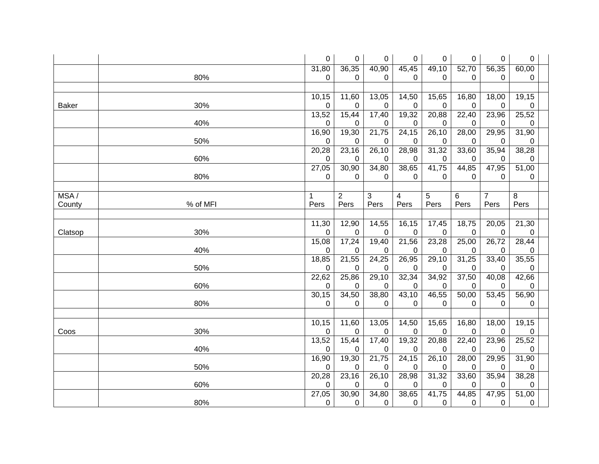|              |          | $\pmb{0}$           | 0              | 0           | 0                  | 0          | 0          | 0              | 0                 |  |
|--------------|----------|---------------------|----------------|-------------|--------------------|------------|------------|----------------|-------------------|--|
|              |          | 31,80               | 36,35          | 40,90       | 45,45              | 49,10      | 52,70      | 56,35          | 60,00             |  |
|              | 80%      | 0                   | 0              | 0           | 0                  | 0          | 0          | 0              | 0                 |  |
|              |          |                     |                |             |                    |            |            |                |                   |  |
|              |          | $\overline{10, 15}$ | 11,60          | 13,05       | 14,50              | 15,65      | 16,80      | 18,00          | 19,15             |  |
| <b>Baker</b> | 30%      | 0                   | 0              | 0           | 0                  | 0          | 0          | 0              | 0                 |  |
|              |          | 13,52               | 15,44          | 17,40       | 19,32              | 20,88      | 22,40      | 23,96          | 25,52             |  |
|              | 40%      | $\mathbf 0$         | 0              | $\mathbf 0$ | 0                  | 0          | 0          | 0              | 0                 |  |
|              |          | 16,90               | 19,30          | 21,75       | 24,15              | 26,10      | 28,00      | 29,95          | 31,90             |  |
|              | 50%      | $\mathbf 0$         | 0              | 0           | 0                  | 0          | 0          | 0              | 0                 |  |
|              |          | 20,28               | 23,16          | 26,10       | 28,98              | 31,32      | 33,60      | 35,94          | 38,28             |  |
|              | 60%      | 0                   | 0              | $\mathbf 0$ | 0                  | 0          | 0          | 0              | 0                 |  |
|              |          | 27,05               | 30,90          | 34,80       | 38,65              | 41,75      | 44,85      | 47,95          | 51,00             |  |
|              | 80%      | 0                   | 0              | 0           | 0                  | 0          | 0          | 0              | 0                 |  |
|              |          |                     |                |             |                    |            |            |                |                   |  |
| MSA/         |          | 1                   | $\overline{c}$ | 3           | 4                  | 5          | 6          | $\overline{7}$ | 8                 |  |
| County       | % of MFI | Pers                | Pers           | Pers        | Pers               | Pers       | Pers       | Pers           | Pers              |  |
|              |          |                     |                |             |                    |            |            |                |                   |  |
|              |          | 11,30               | 12,90          | 14,55       | 16,15              | 17,45      | 18,75      | 20,05          | 21,30             |  |
| Clatsop      | 30%      | $\mathbf 0$         | 0              | 0           | 0                  | 0          | 0          | 0              | 0                 |  |
|              | 40%      | 15,08<br>$\pmb{0}$  | 17,24          | 19,40       | 21,56              | 23,28      | 25,00      | 26,72          | 28,44             |  |
|              |          | 18,85               | 0<br>21,55     | 0<br>24,25  | 0<br>26,95         | 0<br>29,10 | 0<br>31,25 | 0<br>33,40     | 0<br>35,55        |  |
|              | 50%      | 0                   | 0              | 0           | 0                  | 0          | 0          | 0              | 0                 |  |
|              |          | 22,62               | 25,86          | 29,10       | 32,34              | 34,92      | 37,50      | 40,08          | 42,66             |  |
|              | 60%      | 0                   | 0              | 0           | 0                  | 0          | 0          | 0              | 0                 |  |
|              |          | 30,15               | 34,50          | 38,80       | 43,10              | 46,55      | 50,00      | 53,45          | 56,90             |  |
|              | 80%      | 0                   | 0              | 0           | 0                  | $\Omega$   | 0          | 0              | 0                 |  |
|              |          |                     |                |             |                    |            |            |                |                   |  |
|              |          | 10,15               | 11,60          | 13,05       | 14,50              | 15,65      | 16,80      | 18,00          | 19,15             |  |
| Coos         | 30%      | $\pmb{0}$           | 0              | 0           | 0                  | 0          | 0          | 0              | 0                 |  |
|              |          | 13,52               | 15,44          | 17,40       | 19,32              | 20,88      | 22,40      | 23,96          | 25,52             |  |
|              | 40%      | $\mathbf 0$         | 0              | 0           | 0                  | 0          | 0          | 0              | 0                 |  |
|              |          | 16,90               | 19,30          | 21,75       | $\overline{24,15}$ | 26,10      | 28,00      | 29,95          | 31,90             |  |
|              | 50%      | 0                   | 0              | 0           | 0                  | 0          | 0          | 0              | 0                 |  |
|              |          | 20,28               | 23,16          | 26,10       | 28,98              | 31,32      | 33,60      | 35,94          | 38,28             |  |
|              | 60%      | $\mathbf 0$         | 0              | 0           | 0                  | 0          | 0          | 0              | 0                 |  |
|              |          | 27,05               | 30,90          | 34,80       | 38,65              | 41,75      | 44,85      | 47,95          | $\frac{1}{51,00}$ |  |
|              | 80%      | 0                   | 0              | $\pmb{0}$   | 0                  | 0          | 0          | 0              | 0                 |  |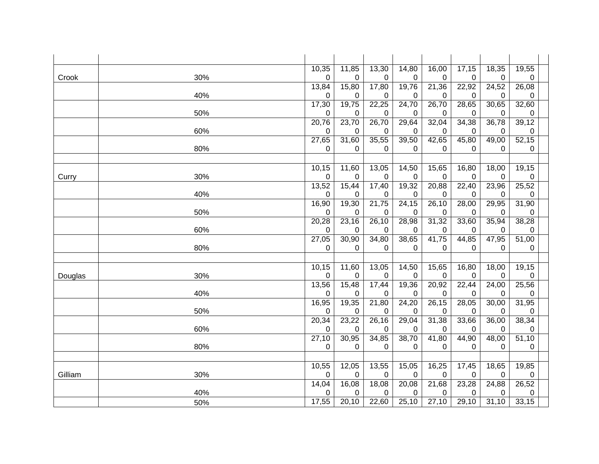|         |     | 10,35              | 11,85      | 13,30      | 14,80       | 16,00      | 17,15      | 18,35      | 19,55      |  |
|---------|-----|--------------------|------------|------------|-------------|------------|------------|------------|------------|--|
| Crook   | 30% | 0                  | 0          | 0          | 0           | 0          | 0          | 0          | 0          |  |
|         |     | 13,84              | 15,80      | 17,80      | 19,76       | 21,36      | 22,92      | 24,52      | 26,08      |  |
|         | 40% | 0                  | 0          | 0          | 0           | 0          | 0          | 0          | 0          |  |
|         |     | 17,30              | 19,75      | 22,25      | 24,70       | 26,70      | 28,65      | 30,65      | 32,60      |  |
|         | 50% | 0                  | 0          | $\Omega$   | 0           | 0          | 0          | $\Omega$   | 0          |  |
|         |     | 20,76              | 23,70      | 26,70      | 29,64       | 32,04      | 34,38      | 36,78      | 39,12      |  |
|         | 60% | 0                  | 0          | 0          | 0           | 0          | 0          | 0          | 0          |  |
|         |     | 27,65              | 31,60      | 35,55      | 39,50       | 42,65      | 45,80      | 49,00      | 52,15      |  |
|         | 80% | 0                  | 0          | 0          | 0           | 0          | 0          | 0          | 0          |  |
|         |     |                    |            |            |             |            |            |            |            |  |
|         |     | 10,15              | 11,60      | 13,05      | 14,50       | 15,65      | 16,80      | 18,00      | 19,15      |  |
| Curry   | 30% | 0                  | 0          | 0          | 0           | 0          | 0          | 0          | 0          |  |
|         |     | 13,52              | 15,44      | 17,40      | 19,32       | 20,88      | 22,40      | 23,96      | 25,52      |  |
|         | 40% | 0                  | 0          | 0          | 0           | 0          | 0          | 0          | 0          |  |
|         |     | 16,90              | 19,30      | 21,75      | 24,15       | 26,10      | 28,00      | 29,95      | 31,90      |  |
|         | 50% | $\pmb{0}$<br>20,28 | 0<br>23,16 | 0<br>26,10 | 0<br>28,98  | 0<br>31,32 | 0<br>33,60 | 0<br>35,94 | 0<br>38,28 |  |
|         | 60% | 0                  | 0          | 0          | 0           | 0          |            | 0          |            |  |
|         |     | 27,05              | 30,90      | 34,80      | 38,65       | 41,75      | 0<br>44,85 | 47,95      | 0<br>51,00 |  |
|         | 80% | 0                  | 0          | 0          | 0           | 0          | 0          | 0          | 0          |  |
|         |     |                    |            |            |             |            |            |            |            |  |
|         |     | 10,15              | 11,60      | 13,05      | 14,50       | 15,65      | 16,80      | 18,00      | 19,15      |  |
| Douglas | 30% | 0                  | 0          | 0          | 0           | 0          | 0          | 0          | 0          |  |
|         |     | 13,56              | 15,48      | 17,44      | 19,36       | 20,92      | 22,44      | 24,00      | 25,56      |  |
|         | 40% | 0                  | 0          | 0          | 0           | 0          | 0          | 0          | 0          |  |
|         |     | 16,95              | 19,35      | 21,80      | 24,20       | 26,15      | 28,05      | 30,00      | 31,95      |  |
|         | 50% | 0                  | 0          | 0          | 0           | 0          | 0          | 0          | 0          |  |
|         |     | 20,34              | 23,22      | 26,16      | 29,04       | 31,38      | 33,66      | 36,00      | 38,34      |  |
|         | 60% | 0                  | 0          | 0          | 0           | 0          | 0          | 0          | 0          |  |
|         |     | 27,10              | 30,95      | 34,85      | 38,70       | 41,80      | 44,90      | 48,00      | 51,10      |  |
|         | 80% | 0                  | 0          | 0          | 0           | 0          | 0          | 0          | 0          |  |
|         |     |                    |            |            |             |            |            |            |            |  |
|         |     | 10,55              | 12,05      | 13,55      | 15,05       | 16,25      | 17,45      | 18,65      | 19,85      |  |
| Gilliam | 30% | 0                  | 0          | 0          | $\mathbf 0$ | 0          | 0          | 0          | 0          |  |
|         |     | 14,04              | 16,08      | 18,08      | 20,08       | 21,68      | 23,28      | 24,88      | 26,52      |  |
|         | 40% | 0                  | 0          | 0          | 0           | 0          | 0          | 0          | 0          |  |
|         | 50% | 17,55              | 20, 10     | 22,60      | 25,10       | 27,10      | 29,10      | 31,10      | 33,15      |  |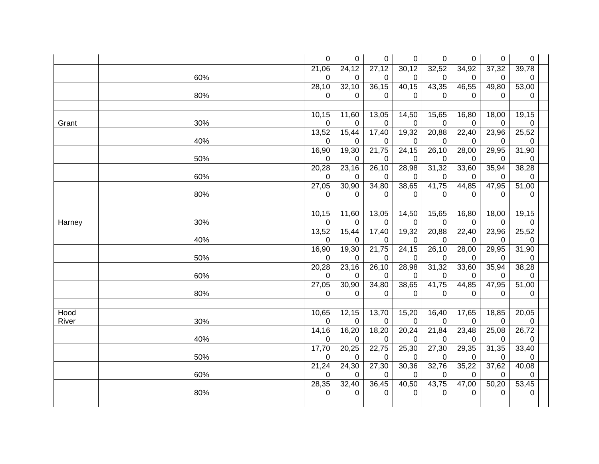|        |     | 0         | 0           | 0           | 0           | 0         | 0         | 0     | $\pmb{0}$   |  |
|--------|-----|-----------|-------------|-------------|-------------|-----------|-----------|-------|-------------|--|
|        |     | 21,06     | 24,12       | 27,12       | 30,12       | 32,52     | 34,92     | 37,32 | 39,78       |  |
|        | 60% | 0         | 0           | 0           | 0           | 0         | 0         | 0     | 0           |  |
|        |     | 28,10     | 32,10       | 36,15       | 40,15       | 43,35     | 46,55     | 49,80 | 53,00       |  |
|        | 80% | 0         | 0           | 0           | $\Omega$    | 0         | 0         | 0     | 0           |  |
|        |     |           |             |             |             |           |           |       |             |  |
|        |     | 10, 15    | 11,60       | 13,05       | 14,50       | 15,65     | 16,80     | 18,00 | 19,15       |  |
| Grant  | 30% | 0         | 0           | $\mathbf 0$ | 0           | 0         | 0         | 0     | $\mathbf 0$ |  |
|        |     | 13,52     | 15,44       | 17,40       | 19,32       | 20,88     | 22,40     | 23,96 | 25,52       |  |
|        | 40% | 0         | 0           | 0           | $\pmb{0}$   | 0         | 0         | 0     | $\pmb{0}$   |  |
|        |     | 16,90     | 19,30       | 21,75       | 24,15       | 26,10     | 28,00     | 29,95 | 31,90       |  |
|        | 50% | 0         | 0           | 0           | 0           | 0         | 0         | 0     | $\mathbf 0$ |  |
|        |     | 20,28     | 23,16       | 26,10       | 28,98       | 31,32     | 33,60     | 35,94 | 38,28       |  |
|        | 60% | 0         | 0           | 0           | 0           | 0         | 0         | 0     | 0           |  |
|        |     | 27,05     | 30,90       | 34,80       | 38,65       | 41,75     | 44,85     | 47,95 | 51,00       |  |
|        | 80% | 0         | $\mathbf 0$ | $\mathbf 0$ | $\mathbf 0$ | 0         | 0         | 0     | 0           |  |
|        |     |           |             |             |             |           |           |       |             |  |
|        |     | 10,15     | 11,60       | 13,05       | 14,50       | 15,65     | 16,80     | 18,00 | 19,15       |  |
| Harney | 30% | 0         | 0           | 0           | 0           | $\pmb{0}$ | 0         | 0     | $\pmb{0}$   |  |
|        |     | 13,52     | 15,44       | 17,40       | 19,32       | 20,88     | 22,40     | 23,96 | 25,52       |  |
|        | 40% | 0         | 0           | 0           | 0           | 0         | 0         | 0     | $\pmb{0}$   |  |
|        |     | 16,90     | 19,30       | 21,75       | 24,15       | 26,10     | 28,00     | 29,95 | 31,90       |  |
|        | 50% | 0         | 0           | 0           | 0           | 0         | 0         | 0     | 0           |  |
|        |     | 20,28     | 23,16       | 26,10       | 28,98       | 31,32     | 33,60     | 35,94 | 38,28       |  |
|        | 60% | 0         | 0           | 0           | 0           | 0         | 0         | 0     | 0           |  |
|        |     | 27,05     | 30,90       | 34,80       | 38,65       | 41,75     | 44,85     | 47,95 | 51,00       |  |
|        | 80% | 0         | 0           | $\mathbf 0$ | 0           | 0         | 0         | 0     | 0           |  |
|        |     |           |             |             |             |           |           |       |             |  |
| Hood   |     | 10,65     | 12,15       | 13,70       | 15,20       | 16,40     | 17,65     | 18,85 | 20,05       |  |
| River  | 30% | $\pmb{0}$ | 0           | 0           | $\mathbf 0$ | 0         | $\pmb{0}$ | 0     | $\pmb{0}$   |  |
|        |     | 14, 16    | 16,20       | 18,20       | 20,24       | 21,84     | 23,48     | 25,08 | 26,72       |  |
|        | 40% | 0         | 0           | 0           | $\mathbf 0$ | 0         | 0         | 0     | 0           |  |
|        |     | 17,70     | 20,25       | 22,75       | 25,30       | 27,30     | 29,35     | 31,35 | 33,40       |  |
|        | 50% | 0         | 0           | 0           | 0           | 0         | 0         | 0     | 0           |  |
|        |     | 21,24     | 24,30       | 27,30       | 30,36       | 32,76     | 35,22     | 37,62 | 40,08       |  |
|        | 60% | 0         | $\mathbf 0$ | 0           | 0           | 0         | 0         | 0     | 0           |  |
|        |     | 28,35     | 32,40       | 36,45       | 40,50       | 43,75     | 47,00     | 50,20 | 53,45       |  |
|        | 80% | 0         | 0           | 0           | 0           | 0         | 0         | 0     | 0           |  |
|        |     |           |             |             |             |           |           |       |             |  |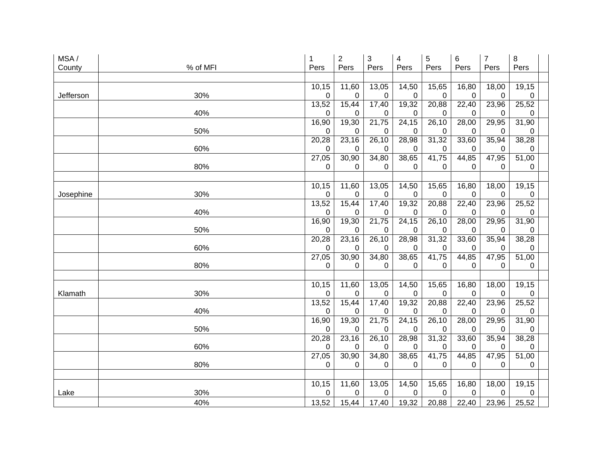| MSA/      |          | 1           | $\boldsymbol{2}$ | 3          | 4                  | 5                 | 6          | $\overline{7}$ | 8                  |  |
|-----------|----------|-------------|------------------|------------|--------------------|-------------------|------------|----------------|--------------------|--|
| County    | % of MFI | Pers        | Pers             | Pers       | Pers               | Pers              | Pers       | Pers           | Pers               |  |
|           |          |             |                  |            |                    |                   |            |                |                    |  |
|           |          | 10,15       | 11,60            | 13,05      | 14,50              | 15,65             | 16,80      | 18,00          | 19,15              |  |
| Jefferson | 30%      | $\mathbf 0$ | 0                | 0          | $\mathbf 0$        | 0                 | 0          | 0              | $\Omega$           |  |
|           |          | 13,52       | 15,44            | 17,40      | 19,32              | 20,88             | 22,40      | 23,96          | 25,52              |  |
|           | 40%      | $\mathbf 0$ | 0                | 0          | 0                  | 0                 | 0          | 0              | 0                  |  |
|           |          | 16,90       | 19,30            | 21,75      | 24,15              | 26,10             | 28,00      | 29,95          | 31,90              |  |
|           | 50%      | 0           | 0                | 0          | 0                  | 0                 | 0          | 0              | 0                  |  |
|           |          | 20,28       | 23,16            | 26,10      | $\overline{28,98}$ | 31,32             | 33,60      | 35,94          | 38,28              |  |
|           | 60%      | 0           | 0                | 0          | 0                  | 0                 | 0          | 0              | 0                  |  |
|           |          | 27,05       | 30,90            | 34,80      | 38,65              | 41,75             | 44,85      | 47,95          | 51,00              |  |
|           | 80%      | 0           | 0                | 0          | 0                  | 0                 | 0          | 0              | 0                  |  |
|           |          |             |                  |            |                    |                   |            |                |                    |  |
|           |          | 10,15       | 11,60            | 13,05      | 14,50              | 15,65             | 16,80      | 18,00          | 19,15              |  |
| Josephine | 30%      | 0           | 0                | 0          | 0                  | 0                 | 0          | 0              | 0                  |  |
|           |          | 13,52       | 15,44            | 17,40      | 19,32              | 20,88             | 22,40      | 23,96          | 25,52              |  |
|           | 40%      | 0           | 0                | 0          | 0                  | 0                 | 0          | 0              | 0                  |  |
|           |          | 16,90       | 19,30            | 21,75      | 24,15              | 26,10             | 28,00      | 29,95          | 31,90              |  |
|           | 50%      | 0           | 0                | 0          | 0                  | 0                 | 0          | 0              | 0                  |  |
|           |          | 20,28       | 23,16            | 26,10      | 28,98              | 31,32             | 33,60      | 35,94          | 38,28              |  |
|           | 60%      | 0           | 0                | 0          | 0                  | 0                 | 0          | 0              | 0                  |  |
|           | 80%      | 27,05<br>0  | 30,90<br>0       | 34,80<br>0 | 38,65<br>$\Omega$  | 41,75<br>$\Omega$ | 44,85<br>0 | 47,95<br>0     | 51,00<br>0         |  |
|           |          |             |                  |            |                    |                   |            |                |                    |  |
|           |          | 10,15       | 11,60            | 13,05      | 14,50              | 15,65             | 16,80      | 18,00          | 19,15              |  |
| Klamath   | 30%      | $\pmb{0}$   | 0                | 0          | 0                  | 0                 | 0          | 0              | 0                  |  |
|           |          | 13,52       | 15,44            | 17,40      | 19,32              | 20,88             | 22,40      | 23,96          | 25,52              |  |
|           | 40%      | $\mathbf 0$ | 0                | 0          | 0                  | 0                 | 0          | 0              | 0                  |  |
|           |          | 16,90       | 19,30            | 21,75      | 24,15              | 26,10             | 28,00      | 29,95          | 31,90              |  |
|           | 50%      | 0           | 0                | 0          | 0                  | 0                 | 0          | 0              | 0                  |  |
|           |          | 20,28       | 23,16            | 26,10      | 28,98              | 31,32             | 33,60      | 35,94          | 38,28              |  |
|           | 60%      | 0           | 0                | 0          | 0                  | 0                 | 0          | 0              | 0                  |  |
|           |          | 27,05       | 30,90            | 34,80      | 38,65              | 41,75             | 44,85      | 47,95          | $\overline{51,00}$ |  |
|           | 80%      | 0           | 0                | 0          | 0                  | $\Omega$          | 0          | 0              | $\Omega$           |  |
|           |          |             |                  |            |                    |                   |            |                |                    |  |
|           |          | 10,15       | 11,60            | 13,05      | 14,50              | 15,65             | 16,80      | 18,00          | 19,15              |  |
| Lake      | 30%      | 0           | 0                | 0          | 0                  | 0                 | 0          | 0              | 0                  |  |
|           | 40%      | 13,52       | 15,44            | 17,40      | 19,32              | 20,88             | 22,40      | 23,96          | 25,52              |  |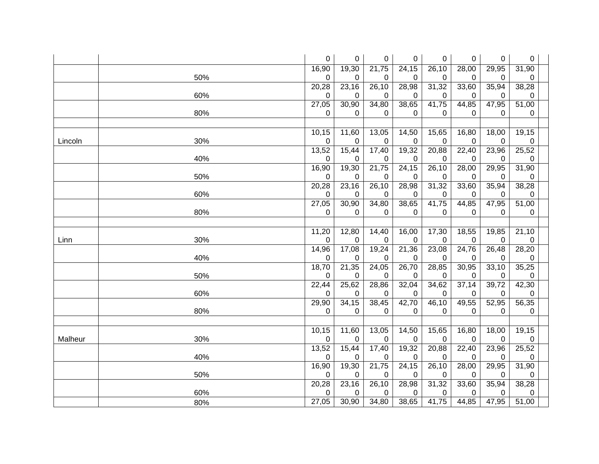|                | 0           | 0           | 0          | 0          | 0          | 0          | 0          | $\pmb{0}$  |  |
|----------------|-------------|-------------|------------|------------|------------|------------|------------|------------|--|
|                | 16,90       | 19,30       | 21,75      | 24,15      | 26,10      | 28,00      | 29,95      | 31,90      |  |
| 50%            | 0           | 0           | 0          | 0          |            | 0          | 0          | 0          |  |
|                | 20,28       | 23,16       | 26,10      | 28,98      | 31,32      | 33,60      | 35,94      | 38,28      |  |
| 60%            | 0           | 0           | 0          | 0          | 0          | 0          | 0          | 0          |  |
|                | 27,05       | 30,90       | 34,80      | 38,65      | 41,75      | 44,85      | 47,95      | 51,00      |  |
| 80%            | 0           | 0           | 0          | 0          | 0          | 0          | 0          | 0          |  |
|                |             |             |            |            |            |            |            |            |  |
|                | 10,15       | 11,60       | 13,05      | 14,50      | 15,65      | 16,80      | 18,00      | 19,15      |  |
| 30%<br>Lincoln | $\pmb{0}$   | 0           | 0          | 0          | 0          | 0          | 0          | 0          |  |
|                | 13,52       | 15,44       | 17,40      | 19,32      | 20,88      | 22,40      | 23,96      | 25,52      |  |
| 40%            | 0           | 0           | 0          | 0          | 0          | 0          | 0          | 0          |  |
|                | 16,90       | 19,30       | 21,75      | 24,15      | 26,10      | 28,00      | 29,95      | 31,90      |  |
| 50%            | 0           | 0           | 0          | 0          | 0          | 0          | 0          | 0          |  |
|                | 20,28       | 23,16       | 26,10      | 28,98      | 31,32      | 33,60      | 35,94      | 38,28      |  |
| 60%            | 0           | 0           | 0          | 0          | 0          | 0          | 0          | 0          |  |
|                | 27,05       | 30,90       | 34,80      | 38,65      | 41,75      | 44,85      | 47,95      | 51,00      |  |
| 80%            | 0           | 0           | 0          | 0          | 0          | 0          | 0          | 0          |  |
|                |             |             |            |            |            |            |            |            |  |
|                | 11,20       | 12,80       | 14,40      | 16,00      | 17,30      | 18,55      | 19,85      | 21,10      |  |
| 30%<br>Linn    | 0           | 0           | 0          | 0          | 0          | 0          | 0          | 0          |  |
|                | 14,96       | 17,08       | 19,24      | 21,36      | 23,08      | 24,76      | 26,48      | 28,20      |  |
| 40%            | 0           | 0           | 0          | 0          | 0          | 0          | 0          | 0          |  |
|                | 18,70       | 21,35       | 24,05      | 26,70      | 28,85      | 30,95      | 33,10      | 35,25      |  |
| 50%            | 0           | 0           | 0          | 0          | 0          | 0          | 0          | 0          |  |
| 60%            | 22,44       | 25,62       | 28,86      | 32,04      | 34,62      | 37,14      | 39,72      | 42,30      |  |
|                | 0<br>29,90  | 0<br>34, 15 | 0<br>38,45 | 0<br>42,70 | 0<br>46,10 | 0<br>49,55 | 0<br>52,95 | 0<br>56,35 |  |
| 80%            | $\Omega$    | 0           | 0          | 0          | 0          | 0          | 0          | 0          |  |
|                |             |             |            |            |            |            |            |            |  |
|                | 10,15       | 11,60       | 13,05      | 14,50      | 15,65      | 16,80      | 18,00      | 19,15      |  |
| 30%<br>Malheur | $\mathbf 0$ | 0           | 0          | 0          | 0          | 0          | 0          | 0          |  |
|                | 13,52       | 15,44       | 17,40      | 19,32      | 20,88      | 22,40      | 23,96      | 25,52      |  |
| 40%            | 0           | 0           | 0          | 0          | 0          | 0          | 0          | 0          |  |
|                | 16,90       | 19,30       | 21,75      | 24,15      | 26,10      | 28,00      | 29,95      | 31,90      |  |
| 50%            | 0           | 0           | 0          | 0          | 0          | 0          | 0          | 0          |  |
|                | 20,28       | 23,16       | 26,10      | 28,98      | 31,32      | 33,60      | 35,94      | 38,28      |  |
| 60%            | 0           | 0           | 0          | 0          | 0          | 0          | 0          | 0          |  |
| 80%            | 27,05       | 30,90       | 34,80      | 38,65      | 41,75      | 44,85      | 47,95      | 51,00      |  |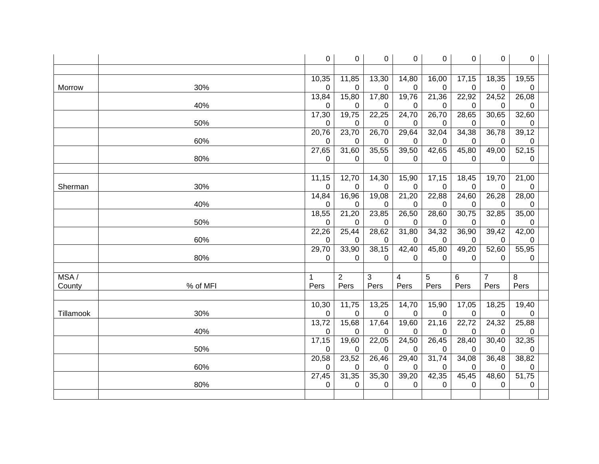|           |          | 0           | 0              | 0           | 0           | 0        | 0     | 0     | 0     |  |
|-----------|----------|-------------|----------------|-------------|-------------|----------|-------|-------|-------|--|
|           |          |             |                |             |             |          |       |       |       |  |
|           |          | 10,35       | 11,85          | 13,30       | 14,80       | 16,00    | 17,15 | 18,35 | 19,55 |  |
| Morrow    | 30%      | $\mathbf 0$ | $\Omega$       | 0           | $\mathbf 0$ | 0        | 0     | 0     | 0     |  |
|           |          | 13,84       | 15,80          | 17,80       | 19,76       | 21,36    | 22,92 | 24,52 | 26,08 |  |
|           | 40%      | 0           | 0              | 0           | 0           | 0        | 0     | 0     | 0     |  |
|           |          | 17,30       | 19,75          | 22,25       | 24,70       | 26,70    | 28,65 | 30,65 | 32,60 |  |
|           | 50%      | 0           | 0              | 0           | 0           | 0        | 0     | 0     | 0     |  |
|           |          | 20,76       | 23,70          | 26,70       | 29,64       | 32,04    | 34,38 | 36,78 | 39,12 |  |
|           | 60%      | 0           | 0              | $\Omega$    | $\Omega$    | $\Omega$ | 0     | 0     | 0     |  |
|           |          | 27,65       | 31,60          | 35,55       | 39,50       | 42,65    | 45,80 | 49,00 | 52,15 |  |
|           | 80%      | 0           | 0              | 0           | 0           | $\Omega$ | 0     | 0     | 0     |  |
|           |          | 11,15       | 12,70          | 14,30       | 15,90       | 17,15    | 18,45 | 19,70 | 21,00 |  |
| Sherman   | 30%      | 0           | 0              | $\mathbf 0$ | $\mathbf 0$ | 0        | 0     | 0     | 0     |  |
|           |          | 14,84       | 16,96          | 19,08       | 21,20       | 22,88    | 24,60 | 26,28 | 28,00 |  |
|           | 40%      | 0           | 0              | 0           | 0           | 0        | 0     | 0     | 0     |  |
|           |          | 18,55       | 21,20          | 23,85       | 26,50       | 28,60    | 30,75 | 32,85 | 35,00 |  |
|           | 50%      | 0           | $\Omega$       | 0           | $\Omega$    | 0        | 0     | 0     | 0     |  |
|           |          | 22,26       | 25,44          | 28,62       | 31,80       | 34,32    | 36,90 | 39,42 | 42,00 |  |
|           | 60%      | 0           | 0              | 0           | 0           | 0        | 0     | 0     | 0     |  |
|           |          | 29,70       | 33,90          | 38,15       | 42,40       | 45,80    | 49,20 | 52,60 | 55,95 |  |
|           | 80%      | 0           | 0              | 0           | 0           | 0        | 0     | 0     | 0     |  |
|           |          |             |                |             |             |          |       |       |       |  |
| MSA/      |          | 1           | $\overline{c}$ | 3           | 4           | 5        | 6     | 7     | 8     |  |
| County    | % of MFI | Pers        | Pers           | Pers        | Pers        | Pers     | Pers  | Pers  | Pers  |  |
|           |          | 10,30       | 11,75          | 13,25       | 14,70       | 15,90    | 17,05 | 18,25 | 19,40 |  |
| Tillamook | 30%      | 0           | 0              | 0           | 0           | 0        | 0     | 0     | 0     |  |
|           |          | 13,72       | 15,68          | 17,64       | 19,60       | 21,16    | 22,72 | 24,32 | 25,88 |  |
|           | 40%      | $\mathbf 0$ | 0              | $\mathbf 0$ | 0           | 0        | 0     | 0     | 0     |  |
|           |          | 17,15       | 19,60          | 22,05       | 24,50       | 26,45    | 28,40 | 30,40 | 32,35 |  |
|           | 50%      | 0           | 0              | $\mathbf 0$ | $\mathbf 0$ | 0        | 0     | 0     | 0     |  |
|           |          | 20,58       | 23,52          | 26,46       | 29,40       | 31,74    | 34,08 | 36,48 | 38,82 |  |
|           | 60%      | 0           | 0              | 0           | 0           | 0        | 0     | 0     | 0     |  |
|           |          | 27,45       | 31,35          | 35,30       | 39,20       | 42,35    | 45,45 | 48,60 | 51,75 |  |
|           | 80%      | $\mathbf 0$ | 0              | 0           | 0           | 0        | 0     | 0     | 0     |  |
|           |          |             |                |             |             |          |       |       |       |  |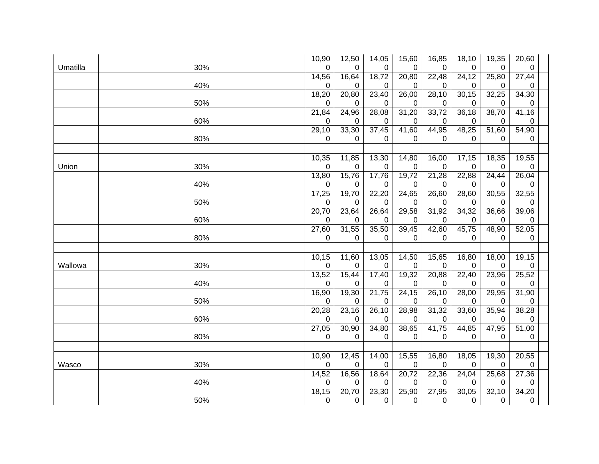|     | 10,90                                                       | 12,50                                                                              | 14,05                                                                                                             | 15,60                                                                                                    | 16,85                                                                                           | 18,10                                                                                           | 19,35                                                                         | 20,60                                                                                                        |                                                                               |
|-----|-------------------------------------------------------------|------------------------------------------------------------------------------------|-------------------------------------------------------------------------------------------------------------------|----------------------------------------------------------------------------------------------------------|-------------------------------------------------------------------------------------------------|-------------------------------------------------------------------------------------------------|-------------------------------------------------------------------------------|--------------------------------------------------------------------------------------------------------------|-------------------------------------------------------------------------------|
| 30% | $\overline{0}$                                              | 0                                                                                  | 0                                                                                                                 | 0                                                                                                        | 0                                                                                               | 0                                                                                               | 0                                                                             | 0                                                                                                            |                                                                               |
|     |                                                             |                                                                                    |                                                                                                                   |                                                                                                          |                                                                                                 |                                                                                                 |                                                                               |                                                                                                              |                                                                               |
|     | 0                                                           | 0                                                                                  | 0                                                                                                                 | 0                                                                                                        | 0                                                                                               | 0                                                                                               | 0                                                                             | 0                                                                                                            |                                                                               |
|     |                                                             |                                                                                    |                                                                                                                   |                                                                                                          |                                                                                                 |                                                                                                 |                                                                               |                                                                                                              |                                                                               |
|     | $\pmb{0}$                                                   | 0                                                                                  | 0                                                                                                                 | 0                                                                                                        | 0                                                                                               | 0                                                                                               | 0                                                                             | 0                                                                                                            |                                                                               |
|     |                                                             |                                                                                    |                                                                                                                   |                                                                                                          |                                                                                                 |                                                                                                 |                                                                               |                                                                                                              |                                                                               |
|     | 0                                                           | 0                                                                                  | 0                                                                                                                 | 0                                                                                                        | 0                                                                                               | 0                                                                                               | 0                                                                             | 0                                                                                                            |                                                                               |
|     |                                                             |                                                                                    |                                                                                                                   |                                                                                                          |                                                                                                 |                                                                                                 |                                                                               |                                                                                                              |                                                                               |
|     |                                                             | 0                                                                                  | 0                                                                                                                 | 0                                                                                                        | 0                                                                                               | 0                                                                                               | 0                                                                             | 0                                                                                                            |                                                                               |
|     |                                                             |                                                                                    |                                                                                                                   |                                                                                                          |                                                                                                 |                                                                                                 |                                                                               |                                                                                                              |                                                                               |
|     | 10,35                                                       | 11,85                                                                              | 13,30                                                                                                             | 14,80                                                                                                    | 16,00                                                                                           | 17,15                                                                                           | 18,35                                                                         | 19,55                                                                                                        |                                                                               |
|     | 0                                                           | 0                                                                                  | 0                                                                                                                 | 0                                                                                                        | 0                                                                                               | 0                                                                                               | 0                                                                             | 0                                                                                                            |                                                                               |
|     |                                                             |                                                                                    |                                                                                                                   |                                                                                                          |                                                                                                 |                                                                                                 |                                                                               |                                                                                                              |                                                                               |
|     | $\mathbf 0$                                                 | 0                                                                                  | 0                                                                                                                 | 0                                                                                                        | 0                                                                                               | 0                                                                                               | 0                                                                             | 0                                                                                                            |                                                                               |
|     |                                                             |                                                                                    |                                                                                                                   |                                                                                                          |                                                                                                 |                                                                                                 |                                                                               |                                                                                                              |                                                                               |
|     | 0                                                           | 0                                                                                  | 0                                                                                                                 | 0                                                                                                        | 0                                                                                               | 0                                                                                               | 0                                                                             | 0                                                                                                            |                                                                               |
|     |                                                             |                                                                                    |                                                                                                                   |                                                                                                          |                                                                                                 |                                                                                                 |                                                                               |                                                                                                              |                                                                               |
|     | 0                                                           | 0                                                                                  | 0                                                                                                                 | 0                                                                                                        | 0                                                                                               | 0                                                                                               | 0                                                                             | 0                                                                                                            |                                                                               |
|     |                                                             |                                                                                    |                                                                                                                   |                                                                                                          |                                                                                                 |                                                                                                 |                                                                               |                                                                                                              |                                                                               |
|     | 0                                                           | 0                                                                                  | 0                                                                                                                 | 0                                                                                                        | 0                                                                                               | 0                                                                                               | 0                                                                             | 0                                                                                                            |                                                                               |
|     |                                                             |                                                                                    |                                                                                                                   |                                                                                                          |                                                                                                 |                                                                                                 |                                                                               |                                                                                                              |                                                                               |
|     | 10, 15                                                      | 11,60                                                                              | 13,05                                                                                                             | 14,50                                                                                                    | 15,65                                                                                           | 16,80                                                                                           | 18,00                                                                         | 19,15                                                                                                        |                                                                               |
| 30% | 0                                                           | 0                                                                                  | 0                                                                                                                 | 0                                                                                                        | 0                                                                                               | 0                                                                                               | 0                                                                             | 0                                                                                                            |                                                                               |
|     | 13,52                                                       | 15,44                                                                              | 17,40                                                                                                             | 19,32                                                                                                    | 20,88                                                                                           | 22,40                                                                                           | $\overline{23,96}$                                                            | 25,52                                                                                                        |                                                                               |
| 40% | 0                                                           | 0                                                                                  | 0                                                                                                                 | 0                                                                                                        | 0                                                                                               | 0                                                                                               | 0                                                                             | 0                                                                                                            |                                                                               |
|     | 16,90                                                       |                                                                                    |                                                                                                                   | 24,15                                                                                                    | 26,10                                                                                           | 28,00                                                                                           | 29,95                                                                         | 31,90                                                                                                        |                                                                               |
| 50% | 0                                                           | 0                                                                                  | 0                                                                                                                 | 0                                                                                                        | 0                                                                                               | 0                                                                                               | 0                                                                             | 0                                                                                                            |                                                                               |
|     | 20,28                                                       |                                                                                    |                                                                                                                   | 28,98                                                                                                    | 31,32                                                                                           | 33,60                                                                                           | 35,94                                                                         | 38,28                                                                                                        |                                                                               |
| 60% | 0                                                           | 0                                                                                  | 0                                                                                                                 | 0                                                                                                        | 0                                                                                               | 0                                                                                               | 0                                                                             | 0                                                                                                            |                                                                               |
|     | 27,05                                                       |                                                                                    |                                                                                                                   |                                                                                                          |                                                                                                 | 44,85                                                                                           |                                                                               | 51,00                                                                                                        |                                                                               |
| 80% | 0                                                           | 0                                                                                  | 0                                                                                                                 | 0                                                                                                        | 0                                                                                               | 0                                                                                               | 0                                                                             | 0                                                                                                            |                                                                               |
|     |                                                             |                                                                                    |                                                                                                                   |                                                                                                          |                                                                                                 |                                                                                                 |                                                                               |                                                                                                              |                                                                               |
|     | 10,90                                                       | 12,45                                                                              | 14,00                                                                                                             |                                                                                                          |                                                                                                 | 18,05                                                                                           |                                                                               | 20,55                                                                                                        |                                                                               |
| 30% | 0                                                           | 0                                                                                  | 0                                                                                                                 | 0                                                                                                        | 0                                                                                               | 0                                                                                               | 0                                                                             | 0                                                                                                            |                                                                               |
|     | 14,52                                                       |                                                                                    | 18,64                                                                                                             | 20,72                                                                                                    | 22,36                                                                                           | 24,04                                                                                           | 25,68                                                                         | 27,36                                                                                                        |                                                                               |
| 40% | 0                                                           | 0                                                                                  | 0                                                                                                                 | 0                                                                                                        | 0                                                                                               | 0                                                                                               | 0                                                                             | 0                                                                                                            |                                                                               |
|     |                                                             |                                                                                    |                                                                                                                   |                                                                                                          |                                                                                                 |                                                                                                 |                                                                               |                                                                                                              |                                                                               |
| 50% | 0                                                           | 0                                                                                  | 0                                                                                                                 | 0                                                                                                        | 0                                                                                               | $\Omega$                                                                                        | 0                                                                             | 0                                                                                                            |                                                                               |
|     | 40%<br>50%<br>60%<br>80%<br>30%<br>40%<br>50%<br>60%<br>80% | 14,56<br>18,20<br>21,84<br>29,10<br>0<br>13,80<br>17,25<br>20,70<br>27,60<br>18,15 | 16,64<br>20,80<br>24,96<br>33,30<br>15,76<br>19,70<br>23,64<br>31,55<br>19,30<br>23,16<br>30,90<br>16,56<br>20,70 | 18,72<br>23,40<br>28,08<br>37,45<br>17,76<br>22,20<br>26,64<br>35,50<br>21,75<br>26,10<br>34,80<br>23,30 | 20,80<br>26,00<br>31,20<br>41,60<br>19,72<br>24,65<br>29,58<br>39,45<br>38,65<br>15,55<br>25,90 | 22,48<br>28,10<br>33,72<br>44,95<br>21,28<br>26,60<br>31,92<br>42,60<br>41,75<br>16,80<br>27,95 | 24,12<br>30,15<br>36,18<br>48,25<br>22,88<br>28,60<br>34,32<br>45,75<br>30,05 | 25,80<br>32,25<br>38,70<br>$\overline{51,60}$<br>24,44<br>30,55<br>36,66<br>48,90<br>47,95<br>19,30<br>32,10 | 27,44<br>34,30<br>41,16<br>54,90<br>26,04<br>32,55<br>39,06<br>52,05<br>34,20 |